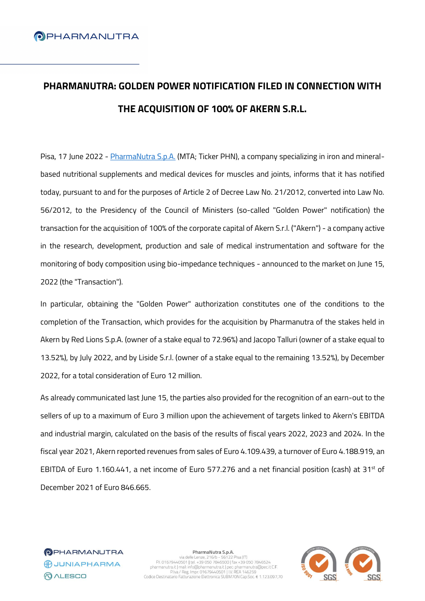# **PHARMANUTRA: GOLDEN POWER NOTIFICATION FILED IN CONNECTION WITH THE ACQUISITION OF 100% OF AKERN S.R.L.**

Pisa, 17 June 2022 - [PharmaNutra S.p.A.](https://www.pharmanutra.it/it/) (MTA; Ticker PHN), a company specializing in iron and mineralbased nutritional supplements and medical devices for muscles and joints, informs that it has notified today, pursuant to and for the purposes of Article 2 of Decree Law No. 21/2012, converted into Law No. 56/2012, to the Presidency of the Council of Ministers (so-called "Golden Power" notification) the transaction for the acquisition of 100% of the corporate capital of Akern S.r.l. ("Akern") - a company active in the research, development, production and sale of medical instrumentation and software for the monitoring of body composition using bio-impedance techniques - announced to the market on June 15, 2022 (the "Transaction").

In particular, obtaining the "Golden Power" authorization constitutes one of the conditions to the completion of the Transaction, which provides for the acquisition by Pharmanutra of the stakes held in Akern by Red Lions S.p.A. (owner of a stake equal to 72.96%) and Jacopo Talluri (owner of a stake equal to 13.52%), by July 2022, and by Liside S.r.l. (owner of a stake equal to the remaining 13.52%), by December 2022, for a total consideration of Euro 12 million.

As already communicated last June 15, the parties also provided for the recognition of an earn-out to the sellers of up to a maximum of Euro 3 million upon the achievement of targets linked to Akern's EBITDA and industrial margin, calculated on the basis of the results of fiscal years 2022, 2023 and 2024. In the fiscal year 2021, Akern reported revenues from sales of Euro 4.109.439, a turnover of Euro 4.188.919, an EBITDA of Euro 1.160.441, a net income of Euro 577.276 and a net financial position (cash) at 31<sup>st</sup> of December 2021 of Euro 846.665.

**OPHARMANUTRA CONTAPHARMA QALESCO** 

PharmaNutra S.p.A. via delle Lenze, 216/b - 56122 Pisa (IT)<br>P.I. 01679440501 | tel. +39 050 7846500 | fax +39 050 7846524<br>pharmanutra.it | mail: info@pharmanutra.it | pec: pharmanutra@pec.it C.F.<br>P.Iva / Reg. Impr. 01679440501 | I.V. REA 146 Codice Destinatario Fatturazione Elettronica SUBM70N Cap.Soc. € 1.123.097,70